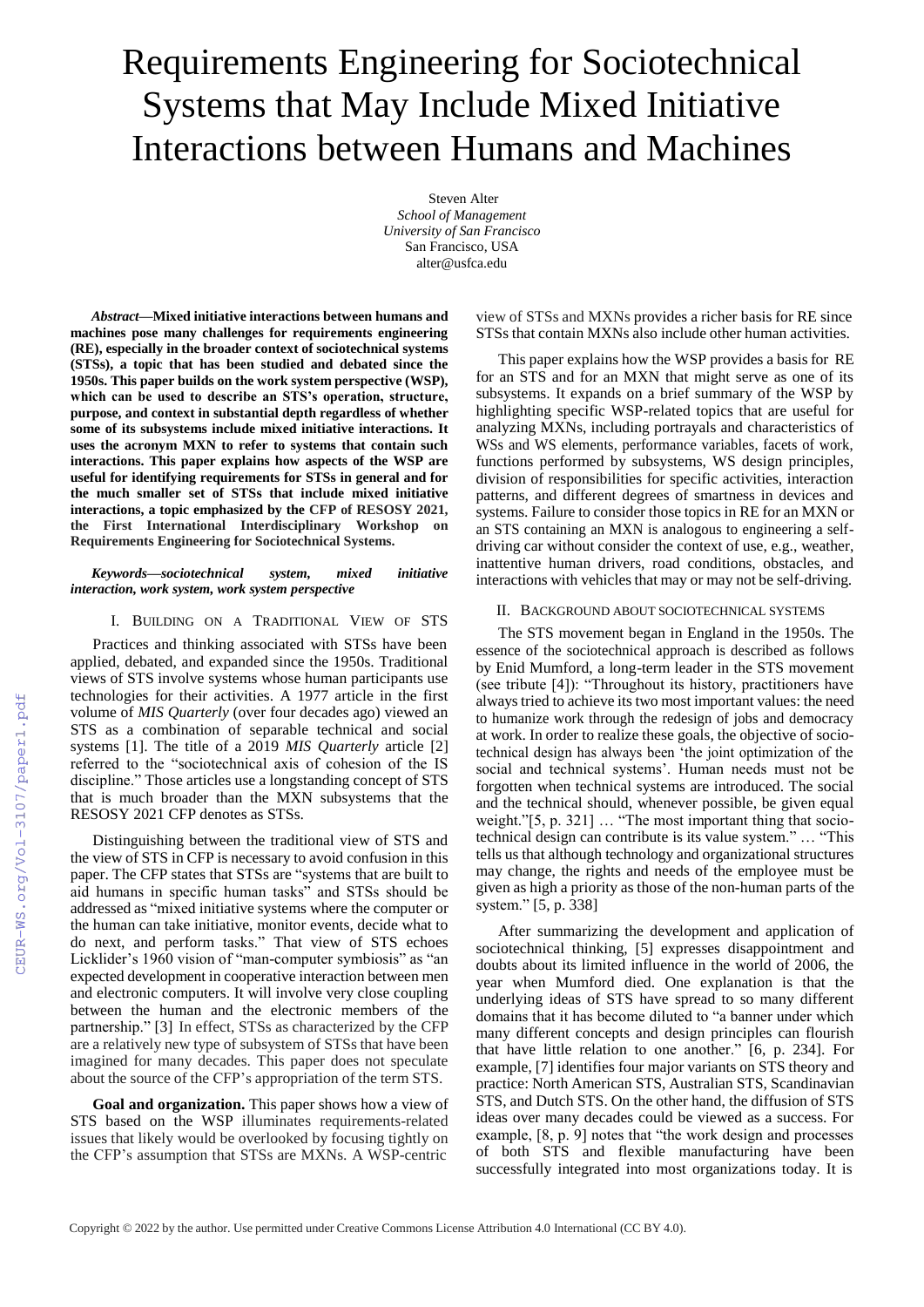# Requirements Engineering for Sociotechnical Systems that May Include Mixed Initiative Interactions between Humans and Machines

Steven Alter *School of Management University of San Francisco* San Francisco, USA [alter@usfca.edu](mailto:alter@usfca.edu)

*Abstract***—Mixed initiative interactions between humans and machines pose many challenges for requirements engineering (RE), especially in the broader context of sociotechnical systems (STSs), a topic that has been studied and debated since the 1950s. This paper builds on the work system perspective (WSP), which can be used to describe an STS's operation, structure, purpose, and context in substantial depth regardless of whether some of its subsystems include mixed initiative interactions. It uses the acronym MXN to refer to systems that contain such interactions. This paper explains how aspects of the WSP are useful for identifying requirements for STSs in general and for the much smaller set of STSs that include mixed initiative interactions, a topic emphasized by the CFP of RESOSY 2021, the First International Interdisciplinary Workshop on Requirements Engineering for Sociotechnical Systems.**

## *Keywords***—***sociotechnical system, mixed initiative interaction, work system, work system perspective*

I. BUILDING ON A TRADITIONAL VIEW OF STS

Practices and thinking associated with STSs have been applied, debated, and expanded since the 1950s. Traditional views of STS involve systems whose human participants use technologies for their activities. A 1977 article in the first volume of *MIS Quarterly* (over four decades ago) viewed an STS as a combination of separable technical and social systems [1]. The title of a 2019 *MIS Quarterly* article [2] referred to the "sociotechnical axis of cohesion of the IS discipline." Those articles use a longstanding concept of STS that is much broader than the MXN subsystems that the RESOSY 2021 CFP denotes as STSs.

Distinguishing between the traditional view of STS and the view of STS in CFP is necessary to avoid confusion in this paper. The CFP states that STSs are "systems that are built to aid humans in specific human tasks" and STSs should be addressed as "mixed initiative systems where the computer or the human can take initiative, monitor events, decide what to do next, and perform tasks." That view of STS echoes Licklider's 1960 vision of "man-computer symbiosis" as "an expected development in cooperative interaction between men and electronic computers. It will involve very close coupling between the human and the electronic members of the partnership." [3] In effect, STSs as characterized by the CFP are a relatively new type of subsystem of STSs that have been imagined for many decades. This paper does not speculate about the source of the CFP's appropriation of the term STS.

**Goal and organization.** This paper shows how a view of STS based on the WSP illuminates requirements-related issues that likely would be overlooked by focusing tightly on the CFP's assumption that STSs are MXNs. A WSP-centric

view of STSs and MXNs provides a richer basis for RE since STSs that contain MXNs also include other human activities.

This paper explains how the WSP provides a basis for RE for an STS and for an MXN that might serve as one of its subsystems. It expands on a brief summary of the WSP by highlighting specific WSP-related topics that are useful for analyzing MXNs, including portrayals and characteristics of WSs and WS elements, performance variables, facets of work, functions performed by subsystems, WS design principles, division of responsibilities for specific activities, interaction patterns, and different degrees of smartness in devices and systems. Failure to consider those topics in RE for an MXN or an STS containing an MXN is analogous to engineering a selfdriving car without consider the context of use, e.g., weather, inattentive human drivers, road conditions, obstacles, and interactions with vehicles that may or may not be self-driving.

## II. BACKGROUND ABOUT SOCIOTECHNICAL SYSTEMS

The STS movement began in England in the 1950s. The essence of the sociotechnical approach is described as follows by Enid Mumford, a long-term leader in the STS movement (see tribute [4]): "Throughout its history, practitioners have alwaystried to achieve its two most important values: the need to humanize work through the redesign of jobs and democracy at work. In order to realize these goals, the objective of sociotechnical design has always been 'the joint optimization of the social and technical systems'. Human needs must not be forgotten when technical systems are introduced. The social and the technical should, whenever possible, be given equal weight."[5, p. 321] … "The most important thing that sociotechnical design can contribute is its value system." … "This tells us that although technology and organizational structures may change, the rights and needs of the employee must be given as high a priority as those of the non-human parts of the system." [5, p. 338]

After summarizing the development and application of sociotechnical thinking, [5] expresses disappointment and doubts about its limited influence in the world of 2006, the year when Mumford died. One explanation is that the underlying ideas of STS have spread to so many different domains that it has become diluted to "a banner under which many different concepts and design principles can flourish that have little relation to one another." [6, p. 234]. For example, [7] identifies four major variants on STS theory and practice: North American STS, Australian STS, Scandinavian STS, and Dutch STS. On the other hand, the diffusion of STS ideas over many decades could be viewed as a success. For example, [8, p. 9] notes that "the work design and processes of both STS and flexible manufacturing have been successfully integrated into most organizations today. It is

Copyright © 2022 by the author. Use permitted under Creative Commons License Attribution 4.0 International (CC BY 4.0).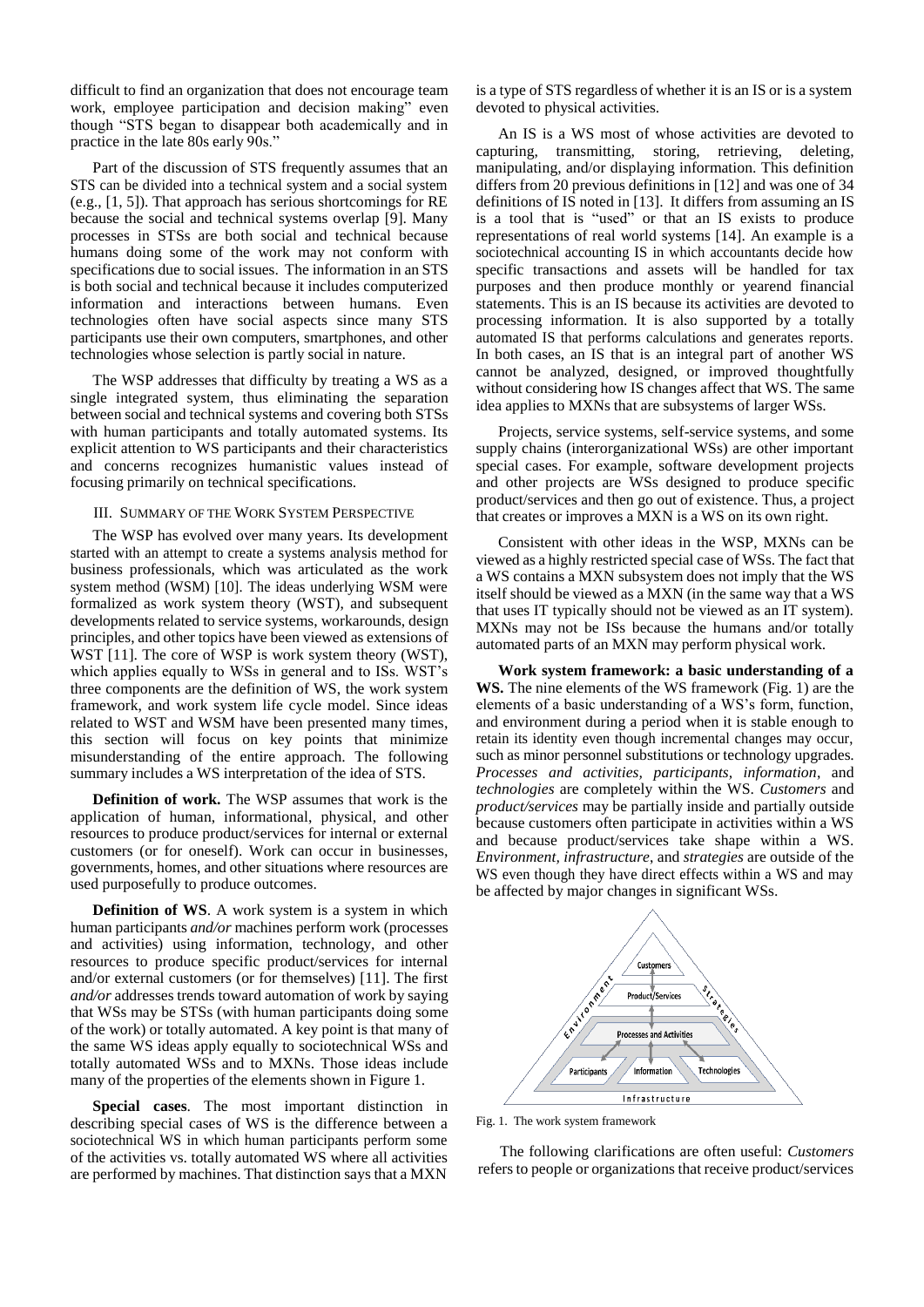difficult to find an organization that does not encourage team work, employee participation and decision making" even though "STS began to disappear both academically and in practice in the late 80s early 90s."

Part of the discussion of STS frequently assumes that an STS can be divided into a technical system and a social system (e.g., [1, 5]). That approach has serious shortcomings for RE because the social and technical systems overlap [9]. Many processes in STSs are both social and technical because humans doing some of the work may not conform with specifications due to social issues. The information in an STS is both social and technical because it includes computerized information and interactions between humans. Even technologies often have social aspects since many STS participants use their own computers, smartphones, and other technologies whose selection is partly social in nature.

The WSP addresses that difficulty by treating a WS as a single integrated system, thus eliminating the separation between social and technical systems and covering both STSs with human participants and totally automated systems. Its explicit attention to WS participants and their characteristics and concerns recognizes humanistic values instead of focusing primarily on technical specifications.

#### III. SUMMARY OF THE WORK SYSTEM PERSPECTIVE

The WSP has evolved over many years. Its development started with an attempt to create a systems analysis method for business professionals, which was articulated as the work system method (WSM) [10]. The ideas underlying WSM were formalized as work system theory (WST), and subsequent developments related to service systems, workarounds, design principles, and other topics have been viewed as extensions of WST [11]. The core of WSP is work system theory (WST), which applies equally to WSs in general and to ISs. WST's three components are the definition of WS, the work system framework, and work system life cycle model. Since ideas related to WST and WSM have been presented many times, this section will focus on key points that minimize misunderstanding of the entire approach. The following summary includes a WS interpretation of the idea of STS.

**Definition of work.** The WSP assumes that work is the application of human, informational, physical, and other resources to produce product/services for internal or external customers (or for oneself). Work can occur in businesses, governments, homes, and other situations where resources are used purposefully to produce outcomes.

**Definition of WS.** A work system is a system in which human participants *and/or* machines perform work (processes and activities) using information, technology, and other resources to produce specific product/services for internal and/or external customers (or for themselves) [11]. The first *and/or* addresses trends toward automation of work by saying that WSs may be STSs (with human participants doing some of the work) or totally automated. A key point is that many of the same WS ideas apply equally to sociotechnical WSs and totally automated WSs and to MXNs. Those ideas include many of the properties of the elements shown in Figure 1.

**Special cases**. The most important distinction in describing special cases of WS is the difference between a sociotechnical WS in which human participants perform some of the activities vs. totally automated WS where all activities are performed by machines. That distinction says that a MXN

is a type of STS regardless of whether it is an IS or is a system devoted to physical activities.

An IS is a WS most of whose activities are devoted to capturing, transmitting, storing, retrieving, deleting, manipulating, and/or displaying information. This definition differs from 20 previous definitions in [12] and was one of 34 definitions of IS noted in [13]. It differs from assuming an IS is a tool that is "used" or that an IS exists to produce representations of real world systems [14]. An example is a sociotechnical accounting IS in which accountants decide how specific transactions and assets will be handled for tax purposes and then produce monthly or yearend financial statements. This is an IS because its activities are devoted to processing information. It is also supported by a totally automated IS that performs calculations and generates reports. In both cases, an IS that is an integral part of another WS cannot be analyzed, designed, or improved thoughtfully without considering how IS changes affect that WS. The same idea applies to MXNs that are subsystems of larger WSs.

Projects, service systems, self-service systems, and some supply chains (interorganizational WSs) are other important special cases. For example, software development projects and other projects are WSs designed to produce specific product/services and then go out of existence. Thus, a project that creates or improves a MXN is a WS on its own right.

Consistent with other ideas in the WSP, MXNs can be viewed as a highly restricted special case of WSs. The fact that a WS contains a MXN subsystem does not imply that the WS itself should be viewed as a MXN (in the same way that a WS that uses IT typically should not be viewed as an IT system). MXNs may not be ISs because the humans and/or totally automated parts of an MXN may perform physical work.

**Work system framework: a basic understanding of a WS.** The nine elements of the WS framework (Fig. 1) are the elements of a basic understanding of a WS's form, function, and environment during a period when it is stable enough to retain its identity even though incremental changes may occur, such as minor personnel substitutions or technology upgrades. *Processes and activities, participants, information*, and *technologies* are completely within the WS. *Customers* and *product/services* may be partially inside and partially outside because customers often participate in activities within a WS and because product/services take shape within a WS. *Environment, infrastructure*, and *strategies* are outside of the WS even though they have direct effects within a WS and may be affected by major changes in significant WSs.



Fig. 1. The work system framework

The following clarifications are often useful: *Customers* refers to people or organizations that receive product/services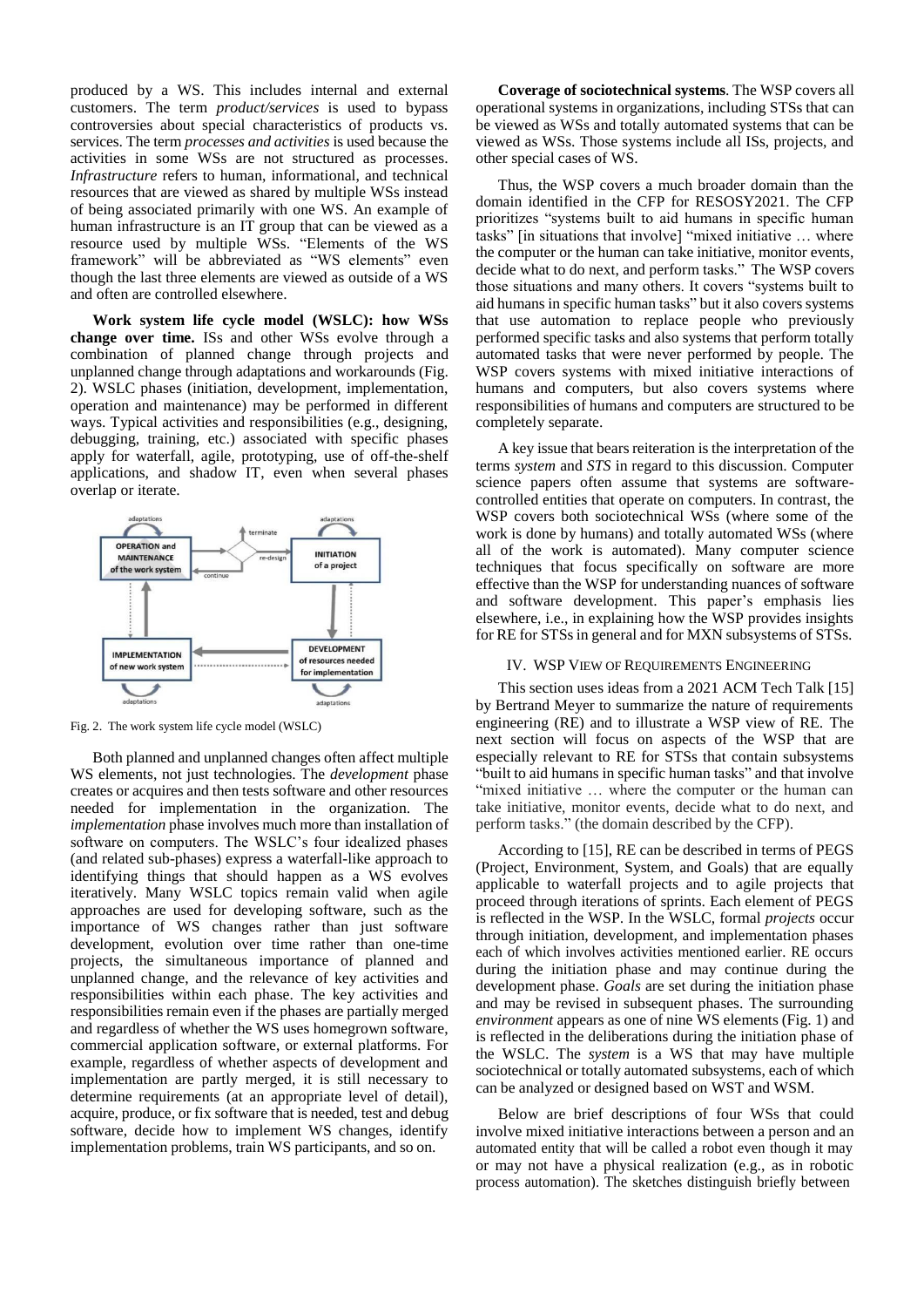produced by a WS. This includes internal and external customers. The term *product/services* is used to bypass controversies about special characteristics of products vs. services. The term *processes and activities* is used because the activities in some WSs are not structured as processes. *Infrastructure* refers to human, informational, and technical resources that are viewed as shared by multiple WSs instead of being associated primarily with one WS. An example of human infrastructure is an IT group that can be viewed as a resource used by multiple WSs. "Elements of the WS framework" will be abbreviated as "WS elements" even though the last three elements are viewed as outside of a WS and often are controlled elsewhere.

**Work system life cycle model (WSLC): how WSs change over time.** ISs and other WSs evolve through a combination of planned change through projects and unplanned change through adaptations and workarounds (Fig. 2). WSLC phases (initiation, development, implementation, operation and maintenance) may be performed in different ways. Typical activities and responsibilities (e.g., designing, debugging, training, etc.) associated with specific phases apply for waterfall, agile, prototyping, use of off-the-shelf applications, and shadow IT, even when several phases overlap or iterate.



Fig. 2. The work system life cycle model (WSLC)

Both planned and unplanned changes often affect multiple WS elements, not just technologies. The *development* phase creates or acquires and then tests software and other resources needed for implementation in the organization. The *implementation* phase involves much more than installation of software on computers. The WSLC's four idealized phases (and related sub-phases) express a waterfall-like approach to identifying things that should happen as a WS evolves iteratively. Many WSLC topics remain valid when agile approaches are used for developing software, such as the importance of WS changes rather than just software development, evolution over time rather than one-time projects, the simultaneous importance of planned and unplanned change, and the relevance of key activities and responsibilities within each phase. The key activities and responsibilities remain even if the phases are partially merged and regardless of whether the WS uses homegrown software, commercial application software, or external platforms. For example, regardless of whether aspects of development and implementation are partly merged, it is still necessary to determine requirements (at an appropriate level of detail), acquire, produce, or fix software that is needed, test and debug software, decide how to implement WS changes, identify implementation problems, train WS participants, and so on.

**Coverage of sociotechnical systems**. The WSP covers all operational systems in organizations, including STSs that can be viewed as WSs and totally automated systems that can be viewed as WSs. Those systems include all ISs, projects, and other special cases of WS.

Thus, the WSP covers a much broader domain than the domain identified in the CFP for RESOSY2021. The CFP prioritizes "systems built to aid humans in specific human tasks" [in situations that involve] "mixed initiative … where the computer or the human can take initiative, monitor events, decide what to do next, and perform tasks." The WSP covers those situations and many others. It covers "systems built to aid humans in specific human tasks" but it also covers systems that use automation to replace people who previously performed specific tasks and also systems that perform totally automated tasks that were never performed by people. The WSP covers systems with mixed initiative interactions of humans and computers, but also covers systems where responsibilities of humans and computers are structured to be completely separate.

A key issue that bears reiteration is the interpretation of the terms *system* and *STS* in regard to this discussion. Computer science papers often assume that systems are softwarecontrolled entities that operate on computers. In contrast, the WSP covers both sociotechnical WSs (where some of the work is done by humans) and totally automated WSs (where all of the work is automated). Many computer science techniques that focus specifically on software are more effective than the WSP for understanding nuances of software and software development. This paper's emphasis lies elsewhere, i.e., in explaining how the WSP provides insights for RE for STSs in general and for MXN subsystems of STSs.

#### IV. WSP VIEW OF REQUIREMENTS ENGINEERING

This section uses ideas from a 2021 ACM Tech Talk [15] by Bertrand Meyer to summarize the nature of requirements engineering (RE) and to illustrate a WSP view of RE. The next section will focus on aspects of the WSP that are especially relevant to RE for STSs that contain subsystems "built to aid humans in specific human tasks" and that involve "mixed initiative ... where the computer or the human can take initiative, monitor events, decide what to do next, and perform tasks." (the domain described by the CFP).

According to [15], RE can be described in terms of PEGS (Project, Environment, System, and Goals) that are equally applicable to waterfall projects and to agile projects that proceed through iterations of sprints. Each element of PEGS is reflected in the WSP. In the WSLC, formal *projects* occur through initiation, development, and implementation phases each of which involves activities mentioned earlier. RE occurs during the initiation phase and may continue during the development phase. *Goals* are set during the initiation phase and may be revised in subsequent phases. The surrounding *environment* appears as one of nine WS elements (Fig. 1) and is reflected in the deliberations during the initiation phase of the WSLC. The *system* is a WS that may have multiple sociotechnical or totally automated subsystems, each of which can be analyzed or designed based on WST and WSM.

Below are brief descriptions of four WSs that could involve mixed initiative interactions between a person and an automated entity that will be called a robot even though it may or may not have a physical realization (e.g., as in robotic process automation). The sketches distinguish briefly between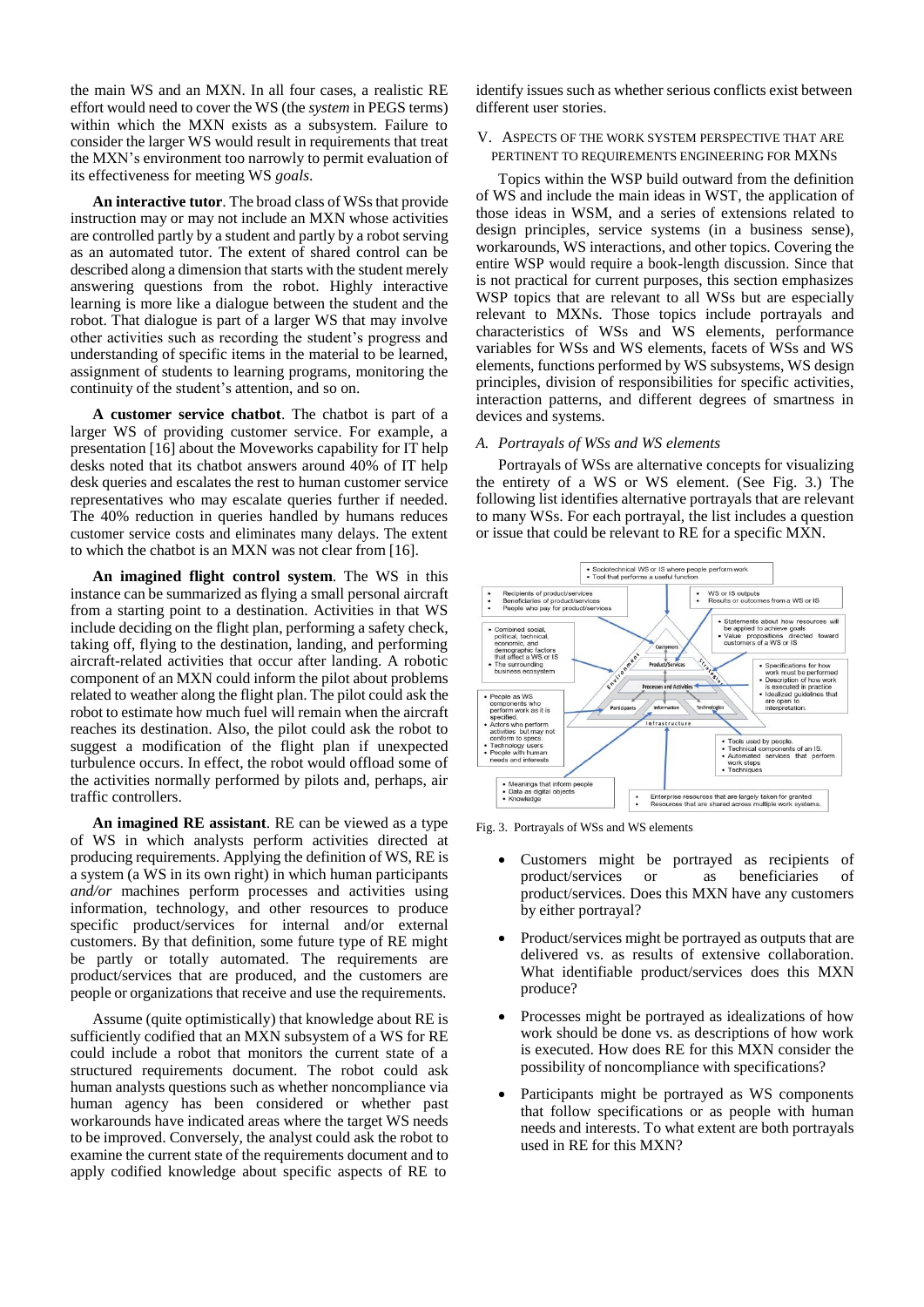the main WS and an MXN. In all four cases, a realistic RE effort would need to cover the WS (the *system* in PEGS terms) within which the MXN exists as a subsystem. Failure to consider the larger WS would result in requirements that treat the MXN's environment too narrowly to permit evaluation of its effectiveness for meeting WS *goals*.

**An interactive tutor**. The broad class of WSsthat provide instruction may or may not include an MXN whose activities are controlled partly by a student and partly by a robot serving as an automated tutor. The extent of shared control can be described along a dimension that starts with the student merely answering questions from the robot. Highly interactive learning is more like a dialogue between the student and the robot. That dialogue is part of a larger WS that may involve other activities such as recording the student's progress and understanding of specific items in the material to be learned, assignment of students to learning programs, monitoring the continuity of the student's attention, and so on.

**A customer service chatbot**. The chatbot is part of a larger WS of providing customer service. For example, a presentation [16] about the Moveworks capability for IT help desks noted that its chatbot answers around 40% of IT help desk queries and escalates the rest to human customer service representatives who may escalate queries further if needed. The 40% reduction in queries handled by humans reduces customer service costs and eliminates many delays. The extent to which the chatbot is an MXN was not clear from [16].

**An imagined flight control system**. The WS in this instance can be summarized as flying a small personal aircraft from a starting point to a destination. Activities in that WS include deciding on the flight plan, performing a safety check, taking off, flying to the destination, landing, and performing aircraft-related activities that occur after landing. A robotic component of an MXN could inform the pilot about problems related to weather along the flight plan. The pilot could ask the robot to estimate how much fuel will remain when the aircraft reaches its destination. Also, the pilot could ask the robot to suggest a modification of the flight plan if unexpected turbulence occurs. In effect, the robot would offload some of the activities normally performed by pilots and, perhaps, air traffic controllers.

**An imagined RE assistant**. RE can be viewed as a type of WS in which analysts perform activities directed at producing requirements. Applying the definition of WS, RE is a system (a WS in its own right) in which human participants *and/or* machines perform processes and activities using information, technology, and other resources to produce specific product/services for internal and/or external customers. By that definition, some future type of RE might be partly or totally automated. The requirements are product/services that are produced, and the customers are people or organizations that receive and use the requirements.

Assume (quite optimistically) that knowledge about RE is sufficiently codified that an MXN subsystem of a WS for RE could include a robot that monitors the current state of a structured requirements document. The robot could ask human analysts questions such as whether noncompliance via human agency has been considered or whether past workarounds have indicated areas where the target WS needs to be improved. Conversely, the analyst could ask the robot to examine the current state of the requirements document and to apply codified knowledge about specific aspects of RE to

identify issues such as whether serious conflicts exist between different user stories.

# V. ASPECTS OF THE WORK SYSTEM PERSPECTIVE THAT ARE PERTINENT TO REQUIREMENTS ENGINEERING FOR MXNS

Topics within the WSP build outward from the definition of WS and include the main ideas in WST, the application of those ideas in WSM, and a series of extensions related to design principles, service systems (in a business sense), workarounds, WS interactions, and other topics. Covering the entire WSP would require a book-length discussion. Since that is not practical for current purposes, this section emphasizes WSP topics that are relevant to all WSs but are especially relevant to MXNs. Those topics include portrayals and characteristics of WSs and WS elements, performance variables for WSs and WS elements, facets of WSs and WS elements, functions performed by WS subsystems, WS design principles, division of responsibilities for specific activities, interaction patterns, and different degrees of smartness in devices and systems.

#### *A. Portrayals of WSs and WS elements*

Portrayals of WSs are alternative concepts for visualizing the entirety of a WS or WS element. (See Fig. 3.) The following list identifies alternative portrayals that are relevant to many WSs. For each portrayal, the list includes a question or issue that could be relevant to RE for a specific MXN.



Fig. 3. Portrayals of WSs and WS elements

- Customers might be portrayed as recipients of product/services or as beneficiaries of product/services. Does this MXN have any customers by either portrayal?
- Product/services might be portrayed as outputs that are delivered vs. as results of extensive collaboration. What identifiable product/services does this MXN produce?
- Processes might be portrayed as idealizations of how work should be done vs. as descriptions of how work is executed. How does RE for this MXN consider the possibility of noncompliance with specifications?
- Participants might be portrayed as WS components that follow specifications or as people with human needs and interests. To what extent are both portrayals used in RE for this MXN?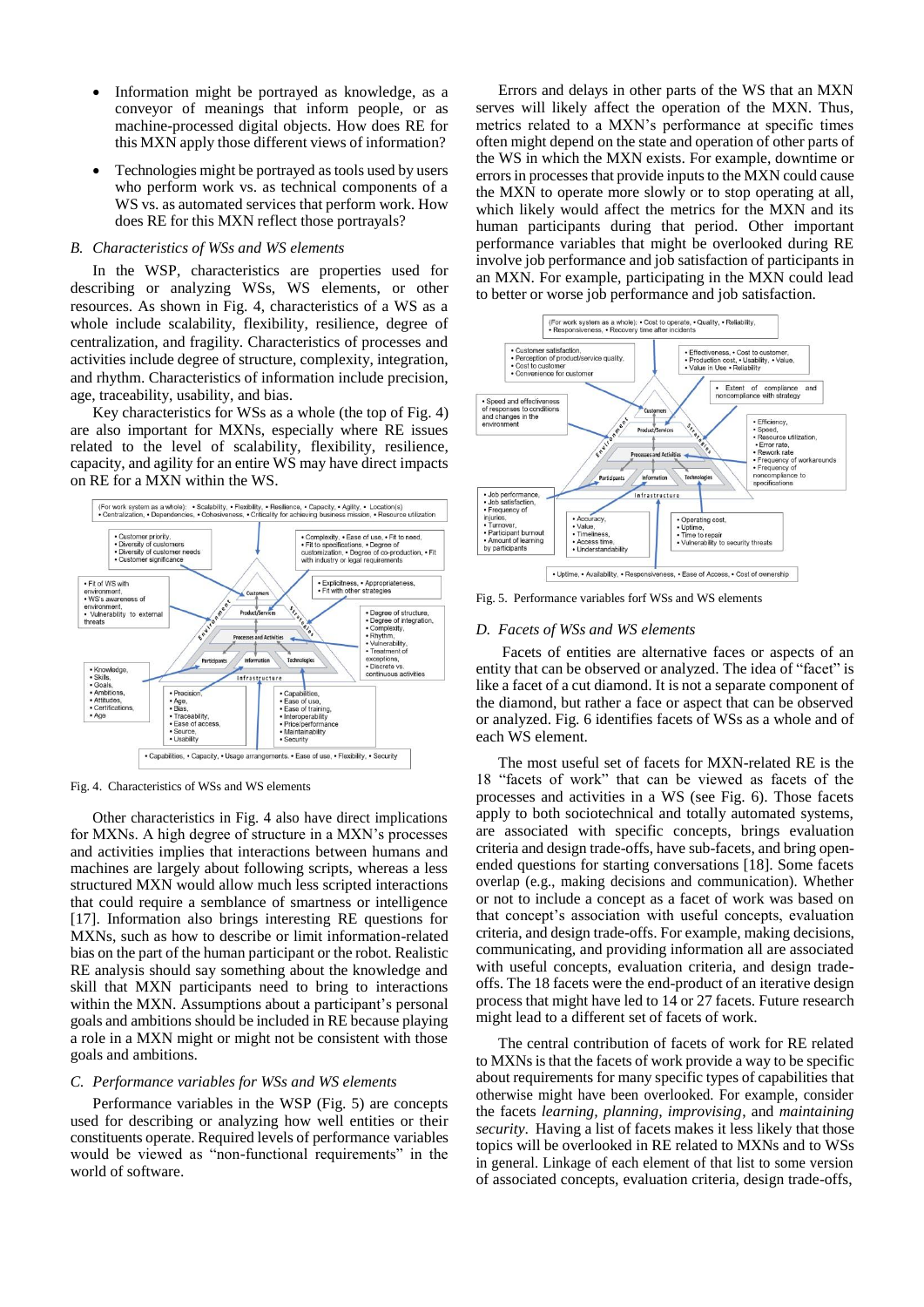- Information might be portrayed as knowledge, as a conveyor of meanings that inform people, or as machine-processed digital objects. How does RE for this MXN apply those different views of information?
- Technologies might be portrayed astools used by users who perform work vs. as technical components of a WS vs. as automated services that perform work. How does RE for this MXN reflect those portrayals?

# *B. Characteristics of WSs and WS elements*

In the WSP, characteristics are properties used for describing or analyzing WSs, WS elements, or other resources. As shown in Fig. 4, characteristics of a WS as a whole include scalability, flexibility, resilience, degree of centralization, and fragility. Characteristics of processes and activities include degree of structure, complexity, integration, and rhythm. Characteristics of information include precision, age, traceability, usability, and bias.

Key characteristics for WSs as a whole (the top of Fig. 4) are also important for MXNs, especially where RE issues related to the level of scalability, flexibility, resilience, capacity, and agility for an entire WS may have direct impacts on RE for a MXN within the WS.



Fig. 4. Characteristics of WSs and WS elements

Other characteristics in Fig. 4 also have direct implications for MXNs. A high degree of structure in a MXN's processes and activities implies that interactions between humans and machines are largely about following scripts, whereas a less structured MXN would allow much less scripted interactions that could require a semblance of smartness or intelligence [17]. Information also brings interesting RE questions for MXNs, such as how to describe or limit information-related bias on the part of the human participant or the robot. Realistic RE analysis should say something about the knowledge and skill that MXN participants need to bring to interactions within the MXN. Assumptions about a participant's personal goals and ambitions should be included in RE because playing a role in a MXN might or might not be consistent with those goals and ambitions.

#### *C. Performance variables for WSs and WS elements*

Performance variables in the WSP (Fig. 5) are concepts used for describing or analyzing how well entities or their constituents operate. Required levels of performance variables would be viewed as "non-functional requirements" in the world of software.

Errors and delays in other parts of the WS that an MXN serves will likely affect the operation of the MXN. Thus, metrics related to a MXN's performance at specific times often might depend on the state and operation of other parts of the WS in which the MXN exists. For example, downtime or errors in processes that provide inputs to the MXN could cause the MXN to operate more slowly or to stop operating at all, which likely would affect the metrics for the MXN and its human participants during that period. Other important performance variables that might be overlooked during RE involve job performance and job satisfaction of participants in an MXN. For example, participating in the MXN could lead to better or worse job performance and job satisfaction.



Fig. 5. Performance variables forf WSs and WS elements

#### *D. Facets of WSs and WS elements*

Facets of entities are alternative faces or aspects of an entity that can be observed or analyzed. The idea of "facet" is like a facet of a cut diamond. It is not a separate component of the diamond, but rather a face or aspect that can be observed or analyzed. Fig. 6 identifies facets of WSs as a whole and of each WS element.

The most useful set of facets for MXN-related RE is the 18 "facets of work" that can be viewed as facets of the processes and activities in a WS (see Fig. 6). Those facets apply to both sociotechnical and totally automated systems, are associated with specific concepts, brings evaluation criteria and design trade-offs, have sub-facets, and bring openended questions for starting conversations [18]. Some facets overlap (e.g., making decisions and communication). Whether or not to include a concept as a facet of work was based on that concept's association with useful concepts, evaluation criteria, and design trade-offs. For example, making decisions, communicating, and providing information all are associated with useful concepts, evaluation criteria, and design tradeoffs. The 18 facets were the end-product of an iterative design process that might have led to 14 or 27 facets. Future research might lead to a different set of facets of work.

The central contribution of facets of work for RE related to MXNs is that the facets of work provide a way to be specific about requirements for many specific types of capabilities that otherwise might have been overlooked. For example, consider the facets *learning, planning, improvising*, and *maintaining security*. Having a list of facets makes it less likely that those topics will be overlooked in RE related to MXNs and to WSs in general. Linkage of each element of that list to some version of associated concepts, evaluation criteria, design trade-offs,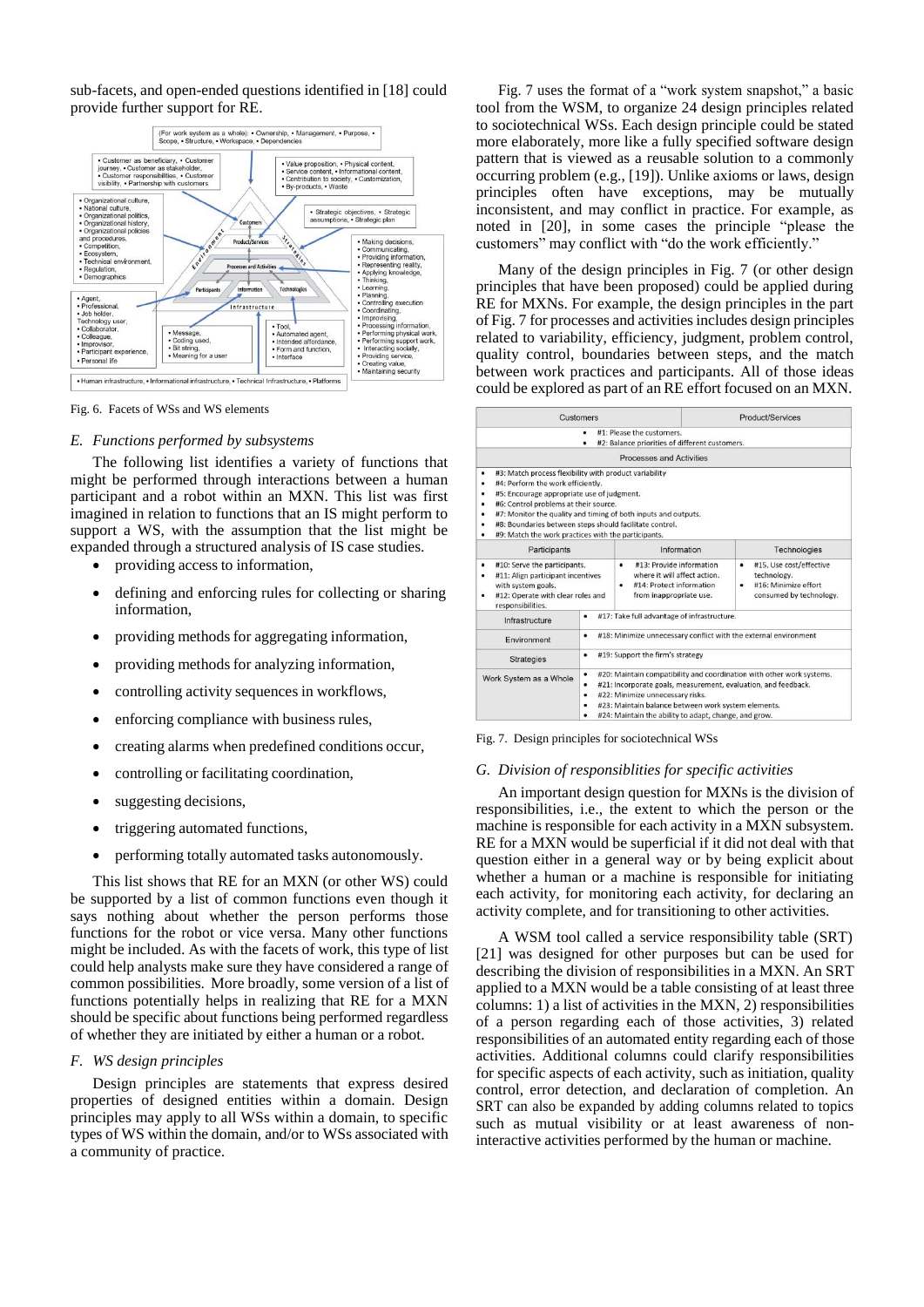sub-facets, and open-ended questions identified in [18] could provide further support for RE.



Fig. 6. Facets of WSs and WS elements

#### *E. Functions performed by subsystems*

The following list identifies a variety of functions that might be performed through interactions between a human participant and a robot within an MXN. This list was first imagined in relation to functions that an IS might perform to support a WS, with the assumption that the list might be expanded through a structured analysis of IS case studies.

- providing accessto information,
- defining and enforcing rules for collecting or sharing information,
- providing methods for aggregating information,
- providing methods for analyzing information,
- controlling activity sequences in workflows,
- enforcing compliance with business rules,
- creating alarms when predefined conditions occur,
- controlling or facilitating coordination,
- suggesting decisions,
- triggering automated functions,
- performing totally automated tasks autonomously.

This list shows that RE for an MXN (or other WS) could be supported by a list of common functions even though it says nothing about whether the person performs those functions for the robot or vice versa. Many other functions might be included. As with the facets of work, this type of list could help analysts make sure they have considered a range of common possibilities. More broadly, some version of a list of functions potentially helps in realizing that RE for a MXN should be specific about functions being performed regardless of whether they are initiated by either a human or a robot.

### *F. WS design principles*

Design principles are statements that express desired properties of designed entities within a domain. Design principles may apply to all WSs within a domain, to specific types of WS within the domain, and/or to WSs associated with a community of practice.

Fig. 7 uses the format of a "work system snapshot," a basic tool from the WSM, to organize 24 design principles related to sociotechnical WSs. Each design principle could be stated more elaborately, more like a fully specified software design pattern that is viewed as a reusable solution to a commonly occurring problem (e.g., [19]). Unlike axioms or laws, design principles often have exceptions, may be mutually inconsistent, and may conflict in practice. For example, as noted in [20], in some cases the principle "please the customers" may conflict with "do the work efficiently."

Many of the design principles in Fig. 7 (or other design principles that have been proposed) could be applied during RE for MXNs. For example, the design principles in the part of Fig. 7 for processes and activitiesincludes design principles related to variability, efficiency, judgment, problem control, quality control, boundaries between steps, and the match between work practices and participants. All of those ideas could be explored as part of an RE effort focused on an MXN.

|                                                                                                                                                             | <b>Customers</b>                                                      |                                                                                                                                                                                                                                    | Product/Services                                                                                    |  |
|-------------------------------------------------------------------------------------------------------------------------------------------------------------|-----------------------------------------------------------------------|------------------------------------------------------------------------------------------------------------------------------------------------------------------------------------------------------------------------------------|-----------------------------------------------------------------------------------------------------|--|
|                                                                                                                                                             |                                                                       | #1: Please the customers.<br>#2: Balance priorities of different customers.                                                                                                                                                        |                                                                                                     |  |
|                                                                                                                                                             |                                                                       | <b>Processes and Activities</b>                                                                                                                                                                                                    |                                                                                                     |  |
| #3: Match process flexibility with product variability<br>٠                                                                                                 |                                                                       |                                                                                                                                                                                                                                    |                                                                                                     |  |
| #4: Perform the work efficiently.<br>٠                                                                                                                      |                                                                       |                                                                                                                                                                                                                                    |                                                                                                     |  |
| #5: Encourage appropriate use of judgment.<br>٠                                                                                                             |                                                                       |                                                                                                                                                                                                                                    |                                                                                                     |  |
| #6: Control problems at their source.<br>٠                                                                                                                  |                                                                       |                                                                                                                                                                                                                                    |                                                                                                     |  |
|                                                                                                                                                             |                                                                       | #7: Monitor the quality and timing of both inputs and outputs.                                                                                                                                                                     |                                                                                                     |  |
| #8: Boundaries between steps should facilitate control.<br>٠                                                                                                |                                                                       |                                                                                                                                                                                                                                    |                                                                                                     |  |
| #9: Match the work practices with the participants.<br>٠                                                                                                    |                                                                       |                                                                                                                                                                                                                                    |                                                                                                     |  |
| Participants                                                                                                                                                |                                                                       | Information                                                                                                                                                                                                                        | Technologies                                                                                        |  |
| #10: Serve the participants.<br>٠<br>#11: Align participant incentives<br>٠<br>with system goals.<br>#12: Operate with clear roles and<br>responsibilities. |                                                                       | #13: Provide information<br>٠<br>where it will affect action.<br>#14: Protect information<br>٠<br>from inappropriate use.                                                                                                          | #15. Use cost/effective<br>٠<br>technology.<br>#16: Minimize effort<br>٠<br>consumed by technology. |  |
| Infrastructure                                                                                                                                              | #17: Take full advantage of infrastructure.                           |                                                                                                                                                                                                                                    |                                                                                                     |  |
| Environment                                                                                                                                                 | #18: Minimize unnecessary conflict with the external environment<br>٠ |                                                                                                                                                                                                                                    |                                                                                                     |  |
| <b>Strategies</b>                                                                                                                                           | #19: Support the firm's strategy<br>٠                                 |                                                                                                                                                                                                                                    |                                                                                                     |  |
| ٠<br>Work System as a Whole<br>٠<br>٠                                                                                                                       |                                                                       | #20: Maintain compatibility and coordination with other work systems.<br>#21: Incorporate goals, measurement, evaluation, and feedback.<br>#22: Minimize unnecessary risks.<br>#23: Maintain balance between work system elements. |                                                                                                     |  |
|                                                                                                                                                             |                                                                       | #24: Maintain the ability to adapt, change, and grow.                                                                                                                                                                              |                                                                                                     |  |

Fig. 7. Design principles for sociotechnical WSs

## *G. Division of responsiblities for specific activities*

An important design question for MXNs is the division of responsibilities, i.e., the extent to which the person or the machine is responsible for each activity in a MXN subsystem. RE for a MXN would be superficial if it did not deal with that question either in a general way or by being explicit about whether a human or a machine is responsible for initiating each activity, for monitoring each activity, for declaring an activity complete, and for transitioning to other activities.

A WSM tool called a service responsibility table (SRT) [21] was designed for other purposes but can be used for describing the division of responsibilities in a MXN. An SRT applied to a MXN would be a table consisting of at least three columns: 1) a list of activities in the MXN, 2) responsibilities of a person regarding each of those activities, 3) related responsibilities of an automated entity regarding each of those activities. Additional columns could clarify responsibilities for specific aspects of each activity, such as initiation, quality control, error detection, and declaration of completion. An SRT can also be expanded by adding columns related to topics such as mutual visibility or at least awareness of noninteractive activities performed by the human or machine.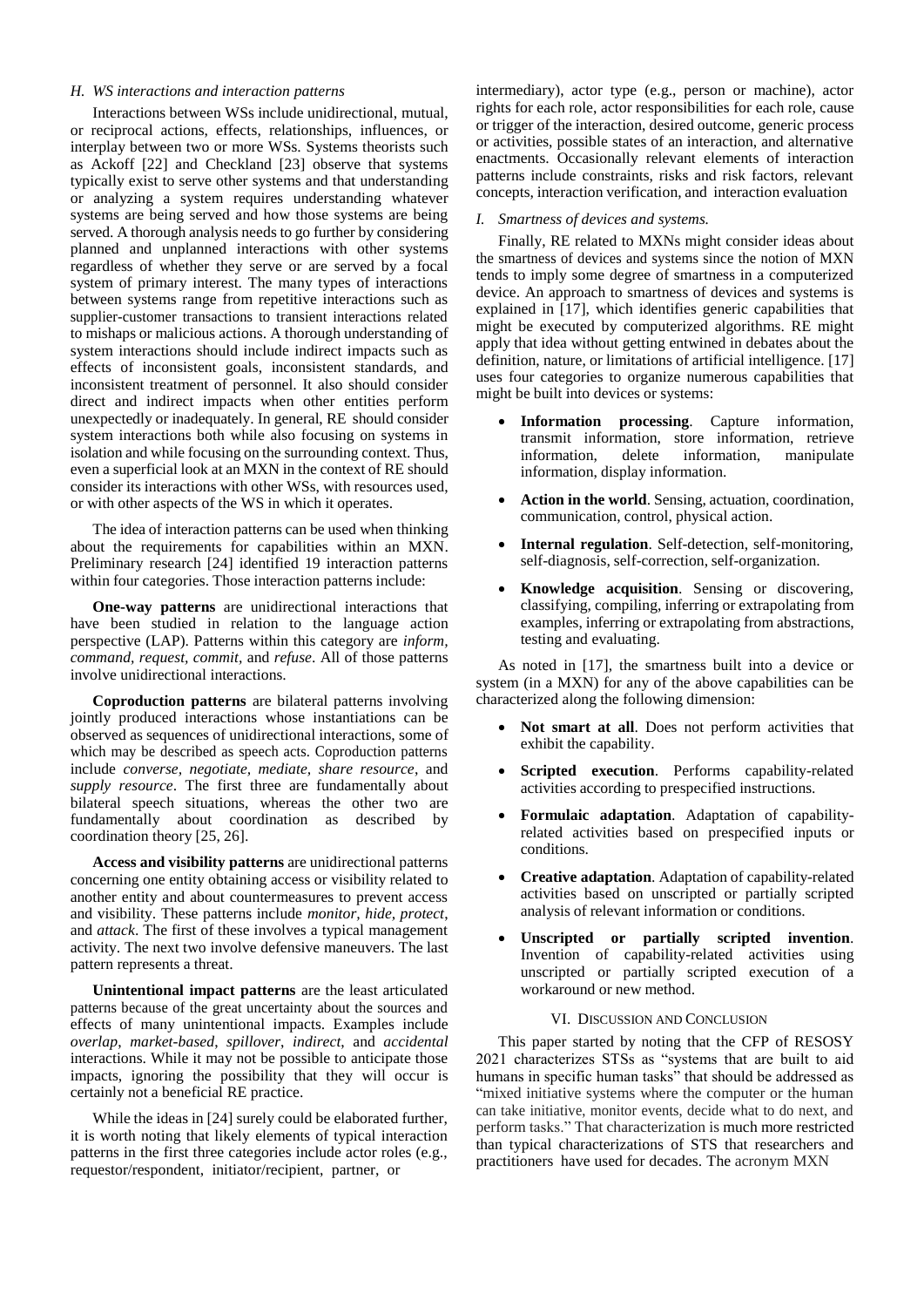# *H. WS interactions and interaction patterns*

Interactions between WSs include unidirectional, mutual, or reciprocal actions, effects, relationships, influences, or interplay between two or more WSs. Systems theorists such as Ackoff [22] and Checkland [23] observe that systems typically exist to serve other systems and that understanding or analyzing a system requires understanding whatever systems are being served and how those systems are being served. A thorough analysis needs to go further by considering planned and unplanned interactions with other systems regardless of whether they serve or are served by a focal system of primary interest. The many types of interactions between systems range from repetitive interactions such as supplier-customer transactions to transient interactions related to mishaps or malicious actions. A thorough understanding of system interactions should include indirect impacts such as effects of inconsistent goals, inconsistent standards, and inconsistent treatment of personnel. It also should consider direct and indirect impacts when other entities perform unexpectedly or inadequately. In general, RE should consider system interactions both while also focusing on systems in isolation and while focusing on the surrounding context. Thus, even a superficial look at an MXN in the context of RE should consider its interactions with other WSs, with resources used, or with other aspects of the WS in which it operates.

The idea of interaction patterns can be used when thinking about the requirements for capabilities within an MXN. Preliminary research [24] identified 19 interaction patterns within four categories. Those interaction patterns include:

**One-way patterns** are unidirectional interactions that have been studied in relation to the language action perspective (LAP). Patterns within this category are *inform, command, request, commit,* and *refuse*. All of those patterns involve unidirectional interactions.

**Coproduction patterns** are bilateral patterns involving jointly produced interactions whose instantiations can be observed as sequences of unidirectional interactions, some of which may be described as speech acts. Coproduction patterns include *converse, negotiate, mediate, share resource*, and *supply resource*. The first three are fundamentally about bilateral speech situations, whereas the other two are fundamentally about coordination as described by coordination theory [25, 26].

**Access and visibility patterns** are unidirectional patterns concerning one entity obtaining access or visibility related to another entity and about countermeasures to prevent access and visibility. These patterns include *monitor, hide, protect*, and *attack*. The first of these involves a typical management activity. The next two involve defensive maneuvers. The last pattern represents a threat.

**Unintentional impact patterns** are the least articulated patterns because of the great uncertainty about the sources and effects of many unintentional impacts. Examples include *overlap*, *market-based*, *spillover*, *indirect*, and *accidental* interactions. While it may not be possible to anticipate those impacts, ignoring the possibility that they will occur is certainly not a beneficial RE practice.

While the ideas in [24] surely could be elaborated further, it is worth noting that likely elements of typical interaction patterns in the first three categories include actor roles (e.g., requestor/respondent, initiator/recipient, partner, or

intermediary), actor type (e.g., person or machine), actor rights for each role, actor responsibilities for each role, cause or trigger of the interaction, desired outcome, generic process or activities, possible states of an interaction, and alternative enactments. Occasionally relevant elements of interaction patterns include constraints, risks and risk factors, relevant concepts, interaction verification, and interaction evaluation

#### *I. Smartness of devices and systems.*

Finally, RE related to MXNs might consider ideas about the smartness of devices and systems since the notion of MXN tends to imply some degree of smartness in a computerized device. An approach to smartness of devices and systems is explained in [17], which identifies generic capabilities that might be executed by computerized algorithms. RE might apply that idea without getting entwined in debates about the definition, nature, or limitations of artificial intelligence. [17] uses four categories to organize numerous capabilities that might be built into devices or systems:

- **Information processing**. Capture information, transmit information, store information, retrieve information, delete information, manipulate information, display information.
- **Action in the world**. Sensing, actuation, coordination, communication, control, physical action.
- **Internal regulation**. Self-detection, self-monitoring, self-diagnosis, self-correction, self-organization.
- **Knowledge acquisition**. Sensing or discovering, classifying, compiling, inferring or extrapolating from examples, inferring or extrapolating from abstractions, testing and evaluating.

As noted in [17], the smartness built into a device or system (in a MXN) for any of the above capabilities can be characterized along the following dimension:

- **Not smart at all**. Does not perform activities that exhibit the capability.
- **Scripted execution**. Performs capability-related activities according to prespecified instructions.
- **Formulaic adaptation**. Adaptation of capabilityrelated activities based on prespecified inputs or conditions.
- **Creative adaptation**. Adaptation of capability-related activities based on unscripted or partially scripted analysis of relevant information or conditions.
- **Unscripted or partially scripted invention**. Invention of capability-related activities using unscripted or partially scripted execution of a workaround or new method.

## VI. DISCUSSION AND CONCLUSION

This paper started by noting that the CFP of RESOSY 2021 characterizes STSs as "systems that are built to aid humans in specific human tasks" that should be addressed as "mixed initiative systems where the computer or the human can take initiative, monitor events, decide what to do next, and perform tasks." That characterization is much more restricted than typical characterizations of STS that researchers and practitioners have used for decades. The acronym MXN